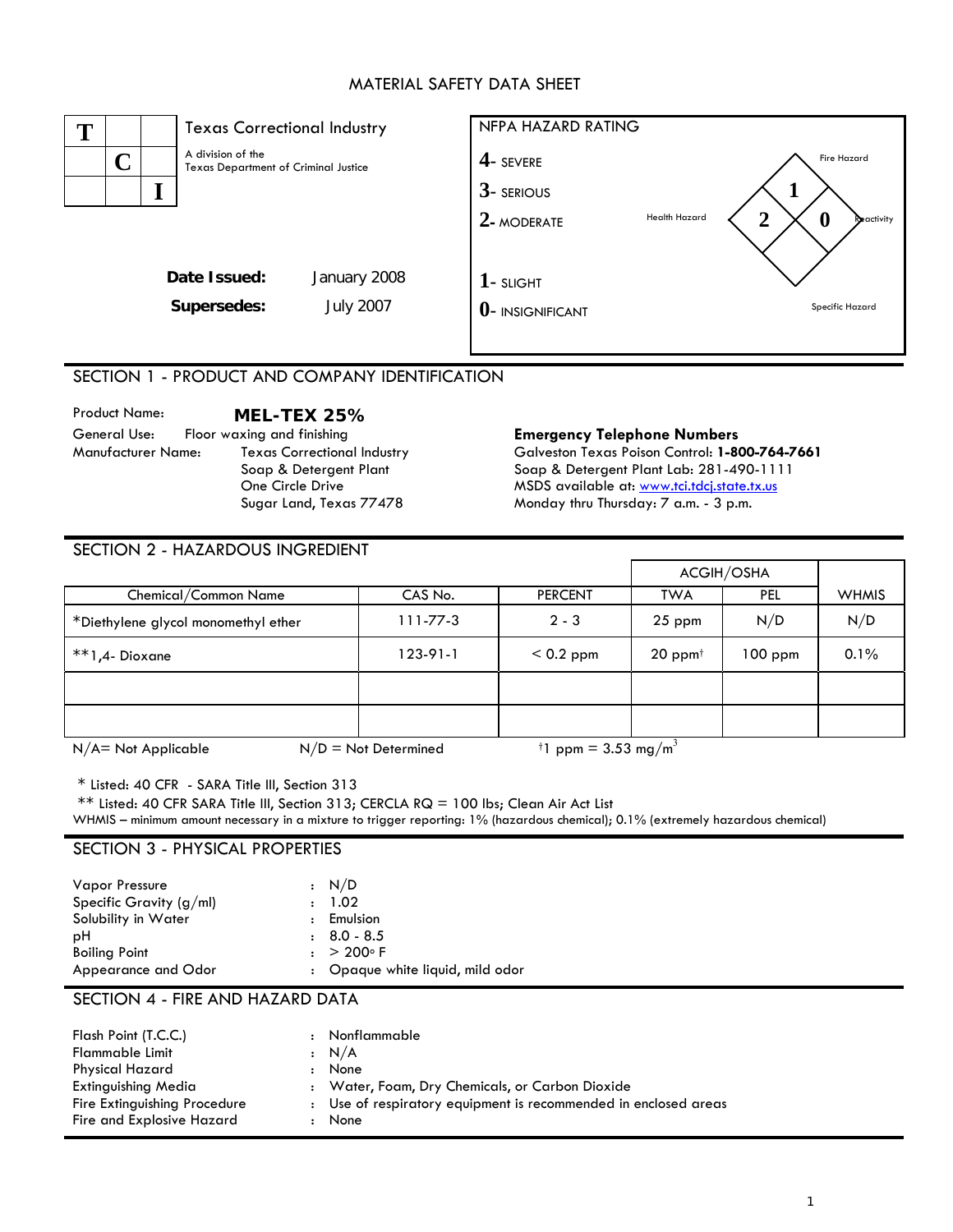#### MATERIAL SAFETY DATA SHEET



# SECTION 1 - PRODUCT AND COMPANY IDENTIFICATION

Product Name: **MEL-TEX 25%** General Use: Floor waxing and finishing **Emergency Telephone Numbers**  Texas Correctional Industry Soap & Detergent Plant One Circle Drive Sugar Land, Texas 77478

# Galveston Texas Poison Control: **1-800-764-7661**  Soap & Detergent Plant Lab: 281-490-1111 MSDS available at: [www.tci.tdcj.state.tx.us](http://www.tci.tdcj.state.tx.us/) Monday thru Thursday: 7 a.m. - 3 p.m.

#### SECTION 2 - HAZARDOUS INGREDIENT

|                                     |                        |                                             |                       | <b>ACGIH/OSHA</b> |              |
|-------------------------------------|------------------------|---------------------------------------------|-----------------------|-------------------|--------------|
| Chemical/Common Name                | CAS No.                | <b>PERCENT</b>                              | <b>TWA</b>            | <b>PEL</b>        | <b>WHMIS</b> |
| *Diethylene glycol monomethyl ether | $111 - 77 - 3$         | $2 - 3$                                     | $25$ ppm              | N/D               | N/D          |
| **1,4- Dioxane                      | 123-91-1               | $< 0.2$ ppm                                 | $20$ ppm <sup>†</sup> | $100$ ppm         | 0.1%         |
|                                     |                        |                                             |                       |                   |              |
|                                     |                        |                                             |                       |                   |              |
| $N/A$ = Not Applicable              | $N/D = Not$ Determined | <sup>†</sup> 1 ppm = 3.53 mg/m <sup>3</sup> |                       |                   |              |

\* Listed: 40 CFR - SARA Title III, Section 313

\*\* Listed: 40 CFR SARA Title III, Section 313; CERCLA RQ = 100 lbs; Clean Air Act List

WHMIS – minimum amount necessary in a mixture to trigger reporting: 1% (hazardous chemical); 0.1% (extremely hazardous chemical)

#### SECTION 3 - PHYSICAL PROPERTIES

| Vapor Pressure            | $\cdot$ N/D                      |
|---------------------------|----------------------------------|
| Specific Gravity $(g/ml)$ | : 1.02                           |
| Solubility in Water       | : Emulsion                       |
| рH                        | $\pm 8.0 - 8.5$                  |
| <b>Boiling Point</b>      | $: > 200^{\circ} F$              |
| Appearance and Odor       | : Opaque white liquid, mild odor |

## SECTION 4 - FIRE AND HAZARD DATA

| Flash Point (T.C.C.)<br>Flammable Limit<br>Physical Hazard<br>Extinguishing Media<br>Fire Extinguishing Procedure | Nonflammable<br>: N/A<br>None<br>: Water, Foam, Dry Chemicals, or Carbon Dioxide<br>: Use of respiratory equipment is recommended in enclosed areas |
|-------------------------------------------------------------------------------------------------------------------|-----------------------------------------------------------------------------------------------------------------------------------------------------|
| Fire and Explosive Hazard                                                                                         | None                                                                                                                                                |